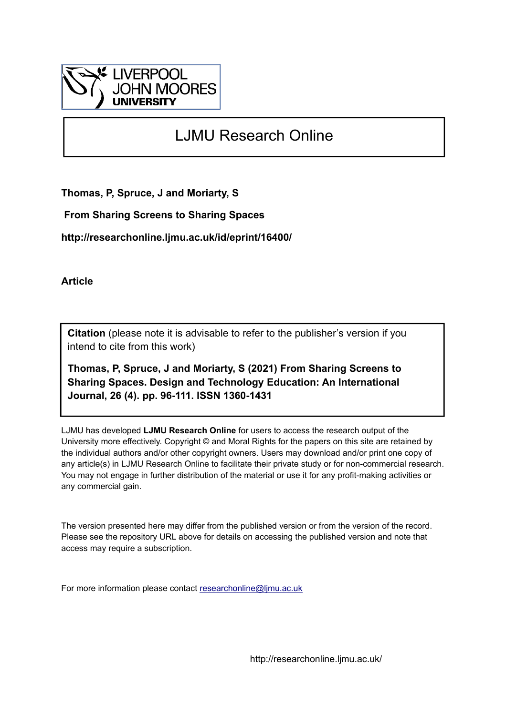

## LJMU Research Online

**Thomas, P, Spruce, J and Moriarty, S**

 **From Sharing Screens to Sharing Spaces**

**http://researchonline.ljmu.ac.uk/id/eprint/16400/**

**Article**

**Citation** (please note it is advisable to refer to the publisher's version if you intend to cite from this work)

**Thomas, P, Spruce, J and Moriarty, S (2021) From Sharing Screens to Sharing Spaces. Design and Technology Education: An International Journal, 26 (4). pp. 96-111. ISSN 1360-1431** 

LJMU has developed **[LJMU Research Online](http://researchonline.ljmu.ac.uk/)** for users to access the research output of the University more effectively. Copyright © and Moral Rights for the papers on this site are retained by the individual authors and/or other copyright owners. Users may download and/or print one copy of any article(s) in LJMU Research Online to facilitate their private study or for non-commercial research. You may not engage in further distribution of the material or use it for any profit-making activities or any commercial gain.

The version presented here may differ from the published version or from the version of the record. Please see the repository URL above for details on accessing the published version and note that access may require a subscription.

For more information please contact [researchonline@ljmu.ac.uk](mailto:researchonline@ljmu.ac.uk)

http://researchonline.ljmu.ac.uk/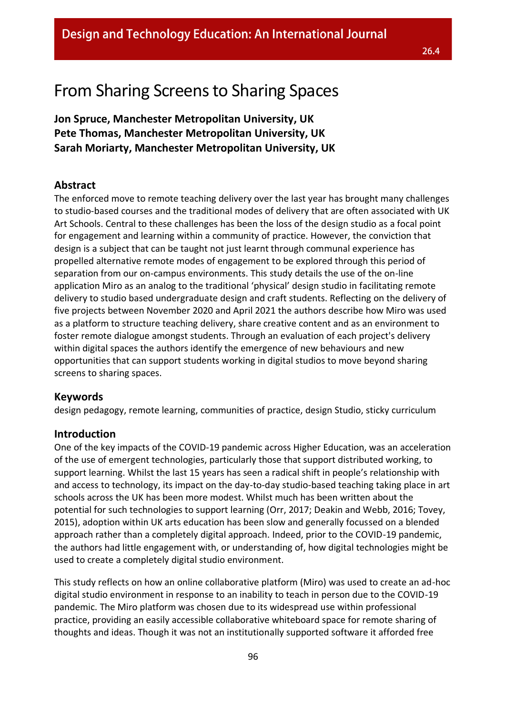## From Sharing Screens to Sharing Spaces

**Jon Spruce, Manchester Metropolitan University, UK Pete Thomas, Manchester Metropolitan University, UK Sarah Moriarty, Manchester Metropolitan University, UK**

## **Abstract**

The enforced move to remote teaching delivery over the last year has brought many challenges to studio-based courses and the traditional modes of delivery that are often associated with UK Art Schools. Central to these challenges has been the loss of the design studio as a focal point for engagement and learning within a community of practice. However, the conviction that design is a subject that can be taught not just learnt through communal experience has propelled alternative remote modes of engagement to be explored through this period of separation from our on-campus environments. This study details the use of the on-line application Miro as an analog to the traditional 'physical' design studio in facilitating remote delivery to studio based undergraduate design and craft students. Reflecting on the delivery of five projects between November 2020 and April 2021 the authors describe how Miro was used as a platform to structure teaching delivery, share creative content and as an environment to foster remote dialogue amongst students. Through an evaluation of each project's delivery within digital spaces the authors identify the emergence of new behaviours and new opportunities that can support students working in digital studios to move beyond sharing screens to sharing spaces.

## **Keywords**

design pedagogy, remote learning, communities of practice, design Studio, sticky curriculum

### **Introduction**

One of the key impacts of the COVID-19 pandemic across Higher Education, was an acceleration of the use of emergent technologies, particularly those that support distributed working, to support learning. Whilst the last 15 years has seen a radical shift in people's relationship with and access to technology, its impact on the day-to-day studio-based teaching taking place in art schools across the UK has been more modest. Whilst much has been written about the potential for such technologies to support learning (Orr, 2017; Deakin and Webb, 2016; Tovey, 2015), adoption within UK arts education has been slow and generally focussed on a blended approach rather than a completely digital approach. Indeed, prior to the COVID-19 pandemic, the authors had little engagement with, or understanding of, how digital technologies might be used to create a completely digital studio environment.

This study reflects on how an online collaborative platform (Miro) was used to create an ad-hoc digital studio environment in response to an inability to teach in person due to the COVID-19 pandemic. The Miro platform was chosen due to its widespread use within professional practice, providing an easily accessible collaborative whiteboard space for remote sharing of thoughts and ideas. Though it was not an institutionally supported software it afforded free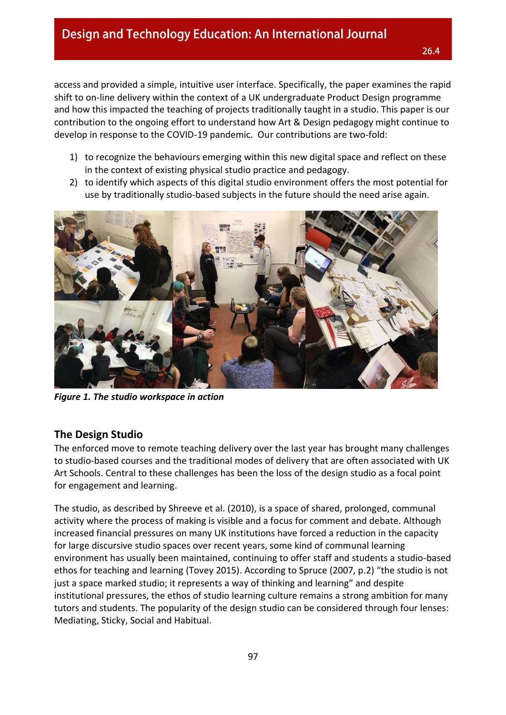access and provided a simple, intuitive user interface. Specifically, the paper examines the rapid shift to on-line delivery within the context of a UK undergraduate Product Design programme and how this impacted the teaching of projects traditionally taught in a studio. This paper is our contribution to the ongoing effort to understand how Art & Design pedagogy might continue to develop in response to the COVID-19 pandemic. Our contributions are two-fold:

- 1) to recognize the behaviours emerging within this new digital space and reflect on these in the context of existing physical studio practice and pedagogy.
- 2) to identify which aspects of this digital studio environment offers the most potential for use by traditionally studio-based subjects in the future should the need arise again.



*Figure 1. The studio workspace in action*

### **The Design Studio**

The enforced move to remote teaching delivery over the last year has brought many challenges to studio-based courses and the traditional modes of delivery that are often associated with UK Art Schools. Central to these challenges has been the loss of the design studio as a focal point for engagement and learning.

The studio, as described by Shreeve et al. (2010), is a space of shared, prolonged, communal activity where the process of making is visible and a focus for comment and debate. Although increased financial pressures on many UK institutions have forced a reduction in the capacity for large discursive studio spaces over recent years, some kind of communal learning environment has usually been maintained, continuing to offer staff and students a studio-based ethos for teaching and learning (Tovey 2015). According to Spruce (2007, p.2) "the studio is not just a space marked studio; it represents a way of thinking and learning" and despite institutional pressures, the ethos of studio learning culture remains a strong ambition for many tutors and students. The popularity of the design studio can be considered through four lenses: Mediating, Sticky, Social and Habitual.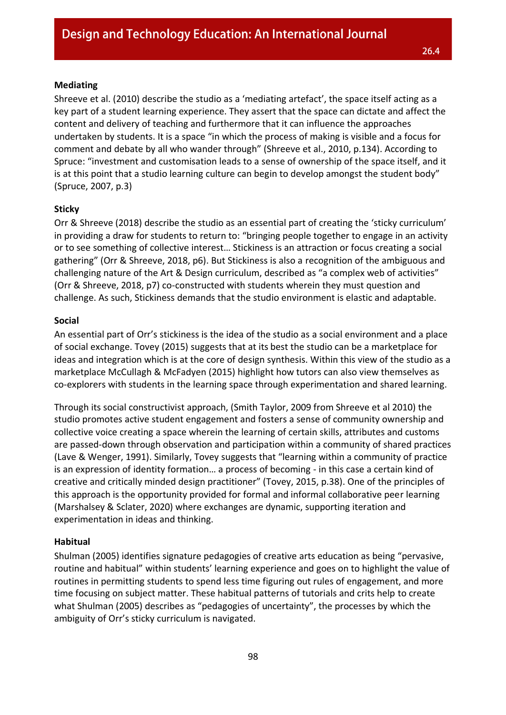#### **Mediating**

Shreeve et al. (2010) describe the studio as a 'mediating artefact', the space itself acting as a key part of a student learning experience. They assert that the space can dictate and affect the content and delivery of teaching and furthermore that it can influence the approaches undertaken by students. It is a space "in which the process of making is visible and a focus for comment and debate by all who wander through" (Shreeve et al., 2010, p.134). According to Spruce: "investment and customisation leads to a sense of ownership of the space itself, and it is at this point that a studio learning culture can begin to develop amongst the student body" (Spruce, 2007, p.3)

#### **Sticky**

Orr & Shreeve (2018) describe the studio as an essential part of creating the 'sticky curriculum' in providing a draw for students to return to: "bringing people together to engage in an activity or to see something of collective interest… Stickiness is an attraction or focus creating a social gathering" (Orr & Shreeve, 2018, p6). But Stickiness is also a recognition of the ambiguous and challenging nature of the Art & Design curriculum, described as "a complex web of activities" (Orr & Shreeve, 2018, p7) co-constructed with students wherein they must question and challenge. As such, Stickiness demands that the studio environment is elastic and adaptable.

#### **Social**

An essential part of Orr's stickiness is the idea of the studio as a social environment and a place of social exchange. Tovey (2015) suggests that at its best the studio can be a marketplace for ideas and integration which is at the core of design synthesis. Within this view of the studio as a marketplace McCullagh & McFadyen (2015) highlight how tutors can also view themselves as co-explorers with students in the learning space through experimentation and shared learning.

Through its social constructivist approach, (Smith Taylor, 2009 from Shreeve et al 2010) the studio promotes active student engagement and fosters a sense of community ownership and collective voice creating a space wherein the learning of certain skills, attributes and customs are passed-down through observation and participation within a community of shared practices (Lave & Wenger, 1991). Similarly, Tovey suggests that "learning within a community of practice is an expression of identity formation… a process of becoming - in this case a certain kind of creative and critically minded design practitioner" (Tovey, 2015, p.38). One of the principles of this approach is the opportunity provided for formal and informal collaborative peer learning (Marshalsey & Sclater, 2020) where exchanges are dynamic, supporting iteration and experimentation in ideas and thinking.

#### **Habitual**

Shulman (2005) identifies signature pedagogies of creative arts education as being "pervasive, routine and habitual" within students' learning experience and goes on to highlight the value of routines in permitting students to spend less time figuring out rules of engagement, and more time focusing on subject matter. These habitual patterns of tutorials and crits help to create what Shulman (2005) describes as "pedagogies of uncertainty", the processes by which the ambiguity of Orr's sticky curriculum is navigated.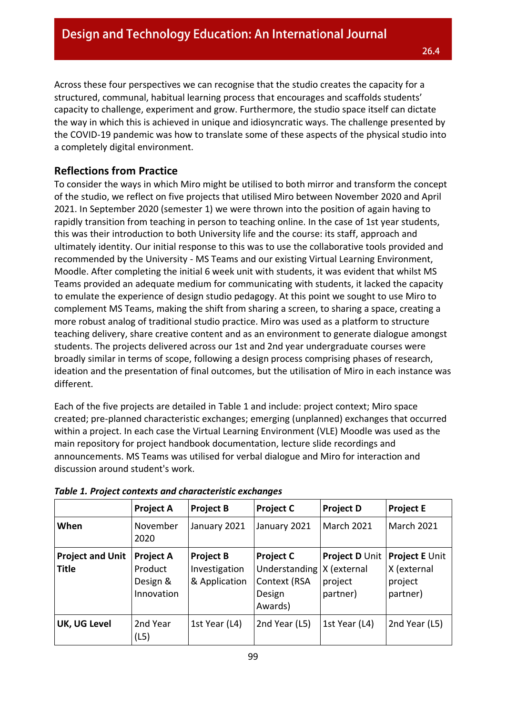Across these four perspectives we can recognise that the studio creates the capacity for a structured, communal, habitual learning process that encourages and scaffolds students' capacity to challenge, experiment and grow. Furthermore, the studio space itself can dictate the way in which this is achieved in unique and idiosyncratic ways. The challenge presented by the COVID-19 pandemic was how to translate some of these aspects of the physical studio into a completely digital environment.

## **Reflections from Practice**

To consider the ways in which Miro might be utilised to both mirror and transform the concept of the studio, we reflect on five projects that utilised Miro between November 2020 and April 2021. In September 2020 (semester 1) we were thrown into the position of again having to rapidly transition from teaching in person to teaching online. In the case of 1st year students, this was their introduction to both University life and the course: its staff, approach and ultimately identity. Our initial response to this was to use the collaborative tools provided and recommended by the University - MS Teams and our existing Virtual Learning Environment, Moodle. After completing the initial 6 week unit with students, it was evident that whilst MS Teams provided an adequate medium for communicating with students, it lacked the capacity to emulate the experience of design studio pedagogy. At this point we sought to use Miro to complement MS Teams, making the shift from sharing a screen, to sharing a space, creating a more robust analog of traditional studio practice. Miro was used as a platform to structure teaching delivery, share creative content and as an environment to generate dialogue amongst students. The projects delivered across our 1st and 2nd year undergraduate courses were broadly similar in terms of scope, following a design process comprising phases of research, ideation and the presentation of final outcomes, but the utilisation of Miro in each instance was different.

Each of the five projects are detailed in Table 1 and include: project context; Miro space created; pre-planned characteristic exchanges; emerging (unplanned) exchanges that occurred within a project. In each case the Virtual Learning Environment (VLE) Moodle was used as the main repository for project handbook documentation, lecture slide recordings and announcements. MS Teams was utilised for verbal dialogue and Miro for interaction and discussion around student's work.

|                                         | <b>Project A</b>                                      | <b>Project B</b>                                   | <b>Project C</b>                                                       | <b>Project D</b>                                            | <b>Project E</b>                                     |
|-----------------------------------------|-------------------------------------------------------|----------------------------------------------------|------------------------------------------------------------------------|-------------------------------------------------------------|------------------------------------------------------|
| When                                    | November<br>2020                                      | January 2021                                       | January 2021                                                           | <b>March 2021</b>                                           | <b>March 2021</b>                                    |
| <b>Project and Unit</b><br><b>Title</b> | <b>Project A</b><br>Product<br>Design &<br>Innovation | <b>Project B</b><br>Investigation<br>& Application | <b>Project C</b><br>Understanding<br>Context (RSA<br>Design<br>Awards) | <b>Project D Unit</b><br>X (external<br>project<br>partner) | Project E Unit<br>X (external<br>project<br>partner) |
| UK, UG Level                            | 2nd Year<br>(L5)                                      | 1st Year (L4)                                      | 2nd Year (L5)                                                          | 1st Year (L4)                                               | 2nd Year (L5)                                        |

#### *Table 1. Project contexts and characteristic exchanges*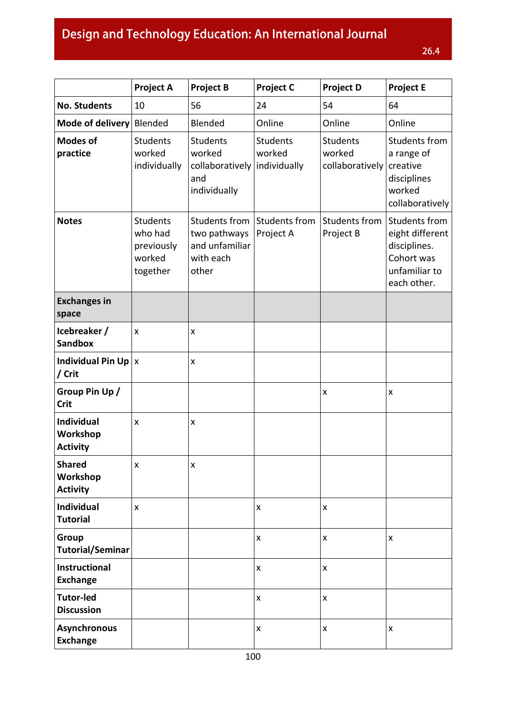# Design and Technology Education: An International Journal

|                                                  | <b>Project A</b>                                               | <b>Project B</b>                                                                 | <b>Project C</b>           | <b>Project D</b>                             | <b>Project E</b>                                                                               |
|--------------------------------------------------|----------------------------------------------------------------|----------------------------------------------------------------------------------|----------------------------|----------------------------------------------|------------------------------------------------------------------------------------------------|
| <b>No. Students</b>                              | 10                                                             | 56                                                                               | 24                         | 54                                           | 64                                                                                             |
| Mode of delivery                                 | Blended                                                        | Blended                                                                          | Online                     | Online                                       | Online                                                                                         |
| <b>Modes of</b><br>practice                      | <b>Students</b><br>worked<br>individually                      | <b>Students</b><br>worked<br>collaboratively individually<br>and<br>individually | <b>Students</b><br>worked  | <b>Students</b><br>worked<br>collaboratively | Students from<br>a range of<br>creative<br>disciplines<br>worked<br>collaboratively            |
| <b>Notes</b>                                     | <b>Students</b><br>who had<br>previously<br>worked<br>together | Students from<br>two pathways<br>and unfamiliar<br>with each<br>other            | Students from<br>Project A | Students from<br>Project B                   | Students from<br>eight different<br>disciplines.<br>Cohort was<br>unfamiliar to<br>each other. |
| <b>Exchanges in</b><br>space                     |                                                                |                                                                                  |                            |                                              |                                                                                                |
| Icebreaker /<br><b>Sandbox</b>                   | $\pmb{\mathsf{x}}$                                             | X                                                                                |                            |                                              |                                                                                                |
| Individual Pin Up $ x $<br>/ Crit                |                                                                | Χ                                                                                |                            |                                              |                                                                                                |
| Group Pin Up /<br><b>Crit</b>                    |                                                                |                                                                                  |                            | $\pmb{\mathsf{X}}$                           | X                                                                                              |
| <b>Individual</b><br>Workshop<br><b>Activity</b> | X                                                              | X                                                                                |                            |                                              |                                                                                                |
| <b>Shared</b><br>Workshop<br><b>Activity</b>     | $\pmb{\mathsf{x}}$                                             | $\pmb{\mathsf{X}}$                                                               |                            |                                              |                                                                                                |
| Individual<br><b>Tutorial</b>                    | X                                                              |                                                                                  | X                          | $\pmb{\times}$                               |                                                                                                |
| Group<br><b>Tutorial/Seminar</b>                 |                                                                |                                                                                  | $\pmb{\mathsf{x}}$         | $\pmb{\times}$                               | X                                                                                              |
| Instructional<br><b>Exchange</b>                 |                                                                |                                                                                  | $\pmb{\mathsf{x}}$         | $\pmb{\times}$                               |                                                                                                |
| <b>Tutor-led</b><br><b>Discussion</b>            |                                                                |                                                                                  | $\pmb{\mathsf{x}}$         | $\pmb{\times}$                               |                                                                                                |
| <b>Asynchronous</b><br><b>Exchange</b>           |                                                                |                                                                                  | $\pmb{\mathsf{X}}$         | X                                            | X                                                                                              |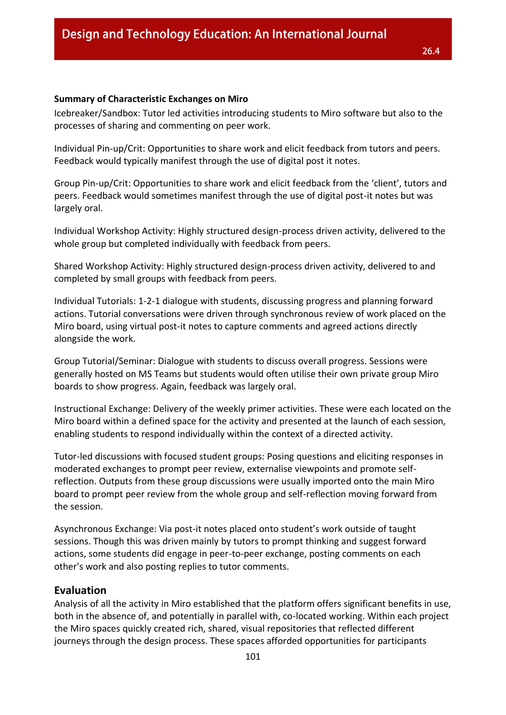#### **Summary of Characteristic Exchanges on Miro**

Icebreaker/Sandbox: Tutor led activities introducing students to Miro software but also to the processes of sharing and commenting on peer work.

Individual Pin-up/Crit: Opportunities to share work and elicit feedback from tutors and peers. Feedback would typically manifest through the use of digital post it notes.

Group Pin-up/Crit: Opportunities to share work and elicit feedback from the 'client', tutors and peers. Feedback would sometimes manifest through the use of digital post-it notes but was largely oral.

Individual Workshop Activity: Highly structured design-process driven activity, delivered to the whole group but completed individually with feedback from peers.

Shared Workshop Activity: Highly structured design-process driven activity, delivered to and completed by small groups with feedback from peers.

Individual Tutorials: 1-2-1 dialogue with students, discussing progress and planning forward actions. Tutorial conversations were driven through synchronous review of work placed on the Miro board, using virtual post-it notes to capture comments and agreed actions directly alongside the work.

Group Tutorial/Seminar: Dialogue with students to discuss overall progress. Sessions were generally hosted on MS Teams but students would often utilise their own private group Miro boards to show progress. Again, feedback was largely oral.

Instructional Exchange: Delivery of the weekly primer activities. These were each located on the Miro board within a defined space for the activity and presented at the launch of each session, enabling students to respond individually within the context of a directed activity.

Tutor-led discussions with focused student groups: Posing questions and eliciting responses in moderated exchanges to prompt peer review, externalise viewpoints and promote selfreflection. Outputs from these group discussions were usually imported onto the main Miro board to prompt peer review from the whole group and self-reflection moving forward from the session.

Asynchronous Exchange: Via post-it notes placed onto student's work outside of taught sessions. Though this was driven mainly by tutors to prompt thinking and suggest forward actions, some students did engage in peer-to-peer exchange, posting comments on each other's work and also posting replies to tutor comments.

#### **Evaluation**

Analysis of all the activity in Miro established that the platform offers significant benefits in use, both in the absence of, and potentially in parallel with, co-located working. Within each project the Miro spaces quickly created rich, shared, visual repositories that reflected different journeys through the design process. These spaces afforded opportunities for participants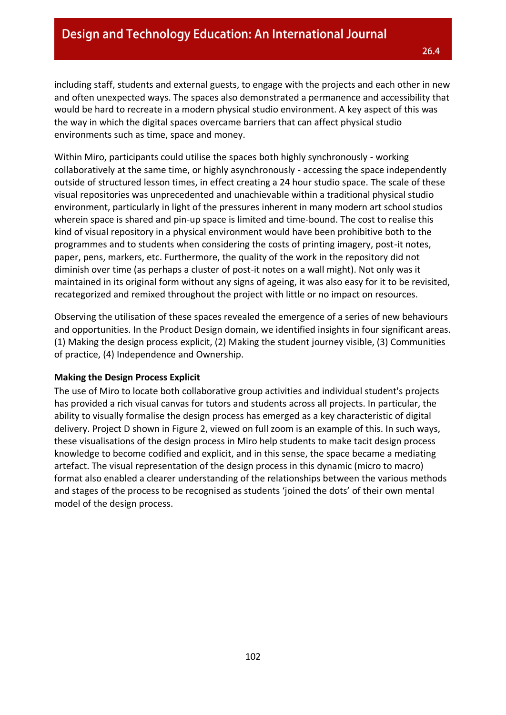including staff, students and external guests, to engage with the projects and each other in new and often unexpected ways. The spaces also demonstrated a permanence and accessibility that would be hard to recreate in a modern physical studio environment. A key aspect of this was the way in which the digital spaces overcame barriers that can affect physical studio environments such as time, space and money.

Within Miro, participants could utilise the spaces both highly synchronously - working collaboratively at the same time, or highly asynchronously - accessing the space independently outside of structured lesson times, in effect creating a 24 hour studio space. The scale of these visual repositories was unprecedented and unachievable within a traditional physical studio environment, particularly in light of the pressures inherent in many modern art school studios wherein space is shared and pin-up space is limited and time-bound. The cost to realise this kind of visual repository in a physical environment would have been prohibitive both to the programmes and to students when considering the costs of printing imagery, post-it notes, paper, pens, markers, etc. Furthermore, the quality of the work in the repository did not diminish over time (as perhaps a cluster of post-it notes on a wall might). Not only was it maintained in its original form without any signs of ageing, it was also easy for it to be revisited, recategorized and remixed throughout the project with little or no impact on resources.

Observing the utilisation of these spaces revealed the emergence of a series of new behaviours and opportunities. In the Product Design domain, we identified insights in four significant areas. (1) Making the design process explicit, (2) Making the student journey visible, (3) Communities of practice, (4) Independence and Ownership.

#### **Making the Design Process Explicit**

The use of Miro to locate both collaborative group activities and individual student's projects has provided a rich visual canvas for tutors and students across all projects. In particular, the ability to visually formalise the design process has emerged as a key characteristic of digital delivery. Project D shown in Figure 2, viewed on full zoom is an example of this. In such ways, these visualisations of the design process in Miro help students to make tacit design process knowledge to become codified and explicit, and in this sense, the space became a mediating artefact. The visual representation of the design process in this dynamic (micro to macro) format also enabled a clearer understanding of the relationships between the various methods and stages of the process to be recognised as students 'joined the dots' of their own mental model of the design process.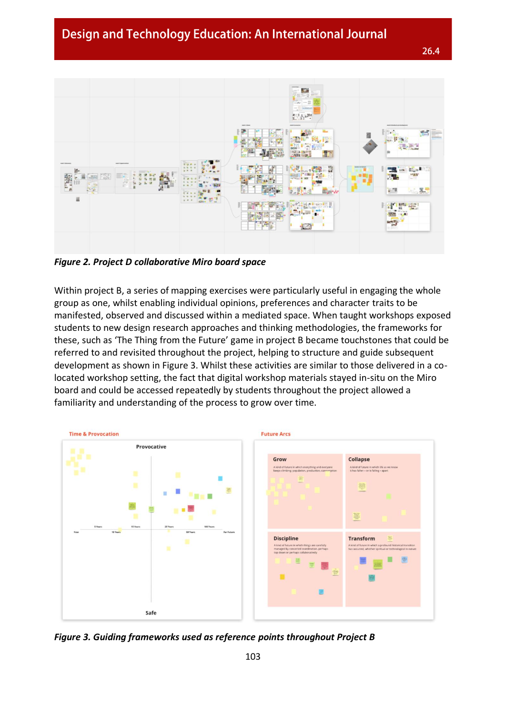

*Figure 2. Project D collaborative Miro board space*

Within project B, a series of mapping exercises were particularly useful in engaging the whole group as one, whilst enabling individual opinions, preferences and character traits to be manifested, observed and discussed within a mediated space. When taught workshops exposed students to new design research approaches and thinking methodologies, the frameworks for these, such as 'The Thing from the Future' game in project B became touchstones that could be referred to and revisited throughout the project, helping to structure and guide subsequent development as shown in Figure 3. Whilst these activities are similar to those delivered in a colocated workshop setting, the fact that digital workshop materials stayed in-situ on the Miro board and could be accessed repeatedly by students throughout the project allowed a familiarity and understanding of the process to grow over time.



*Figure 3. Guiding frameworks used as reference points throughout Project B*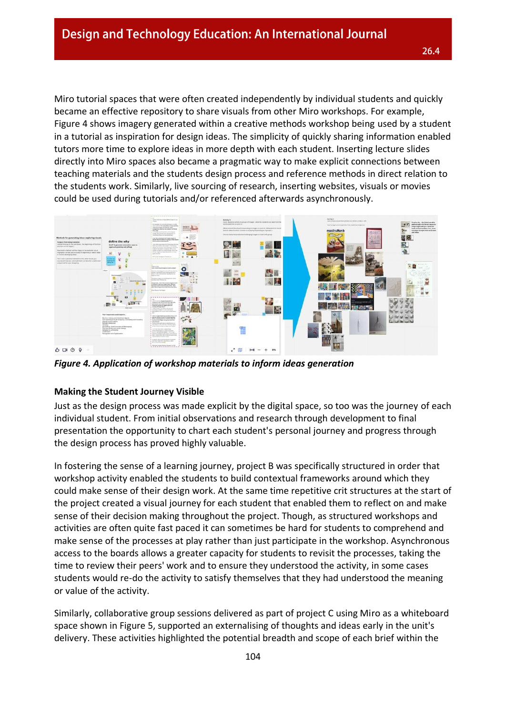Miro tutorial spaces that were often created independently by individual students and quickly became an effective repository to share visuals from other Miro workshops. For example, Figure 4 shows imagery generated within a creative methods workshop being used by a student in a tutorial as inspiration for design ideas. The simplicity of quickly sharing information enabled tutors more time to explore ideas in more depth with each student. Inserting lecture slides directly into Miro spaces also became a pragmatic way to make explicit connections between teaching materials and the students design process and reference methods in direct relation to the students work. Similarly, live sourcing of research, inserting websites, visuals or movies could be used during tutorials and/or referenced afterwards asynchronously.



*Figure 4. Application of workshop materials to inform ideas generation*

#### **Making the Student Journey Visible**

Just as the design process was made explicit by the digital space, so too was the journey of each individual student. From initial observations and research through development to final presentation the opportunity to chart each student's personal journey and progress through the design process has proved highly valuable.

In fostering the sense of a learning journey, project B was specifically structured in order that workshop activity enabled the students to build contextual frameworks around which they could make sense of their design work. At the same time repetitive crit structures at the start of the project created a visual journey for each student that enabled them to reflect on and make sense of their decision making throughout the project. Though, as structured workshops and activities are often quite fast paced it can sometimes be hard for students to comprehend and make sense of the processes at play rather than just participate in the workshop. Asynchronous access to the boards allows a greater capacity for students to revisit the processes, taking the time to review their peers' work and to ensure they understood the activity, in some cases students would re-do the activity to satisfy themselves that they had understood the meaning or value of the activity.

Similarly, collaborative group sessions delivered as part of project C using Miro as a whiteboard space shown in Figure 5, supported an externalising of thoughts and ideas early in the unit's delivery. These activities highlighted the potential breadth and scope of each brief within the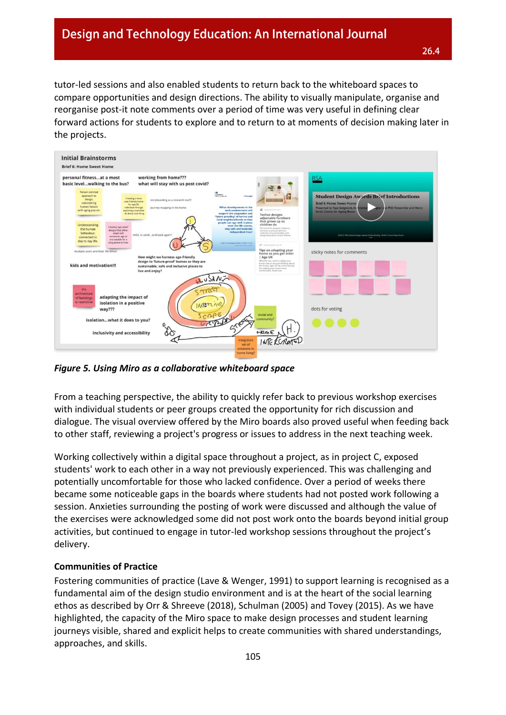tutor-led sessions and also enabled students to return back to the whiteboard spaces to compare opportunities and design directions. The ability to visually manipulate, organise and reorganise post-it note comments over a period of time was very useful in defining clear forward actions for students to explore and to return to at moments of decision making later in the projects.



*Figure 5. Using Miro as a collaborative whiteboard space*

From a teaching perspective, the ability to quickly refer back to previous workshop exercises with individual students or peer groups created the opportunity for rich discussion and dialogue. The visual overview offered by the Miro boards also proved useful when feeding back to other staff, reviewing a project's progress or issues to address in the next teaching week.

Working collectively within a digital space throughout a project, as in project C, exposed students' work to each other in a way not previously experienced. This was challenging and potentially uncomfortable for those who lacked confidence. Over a period of weeks there became some noticeable gaps in the boards where students had not posted work following a session. Anxieties surrounding the posting of work were discussed and although the value of the exercises were acknowledged some did not post work onto the boards beyond initial group activities, but continued to engage in tutor-led workshop sessions throughout the project's delivery.

#### **Communities of Practice**

Fostering communities of practice (Lave & Wenger, 1991) to support learning is recognised as a fundamental aim of the design studio environment and is at the heart of the social learning ethos as described by Orr & Shreeve (2018), Schulman (2005) and Tovey (2015). As we have highlighted, the capacity of the Miro space to make design processes and student learning journeys visible, shared and explicit helps to create communities with shared understandings, approaches, and skills.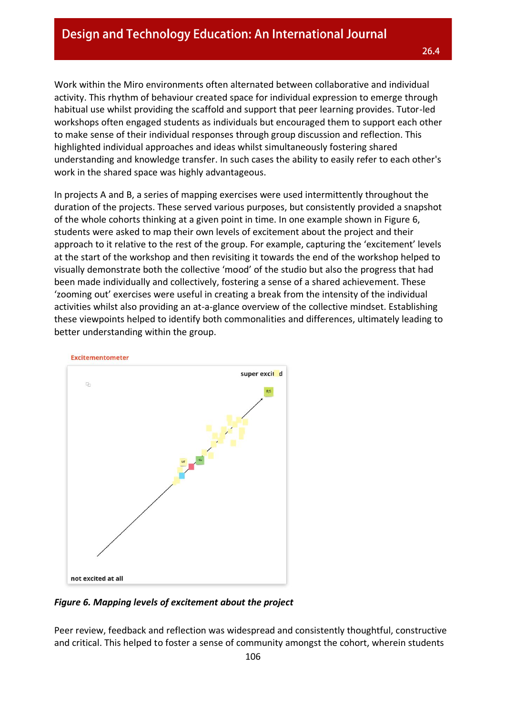Work within the Miro environments often alternated between collaborative and individual activity. This rhythm of behaviour created space for individual expression to emerge through habitual use whilst providing the scaffold and support that peer learning provides. Tutor-led workshops often engaged students as individuals but encouraged them to support each other to make sense of their individual responses through group discussion and reflection. This highlighted individual approaches and ideas whilst simultaneously fostering shared understanding and knowledge transfer. In such cases the ability to easily refer to each other's work in the shared space was highly advantageous.

In projects A and B, a series of mapping exercises were used intermittently throughout the duration of the projects. These served various purposes, but consistently provided a snapshot of the whole cohorts thinking at a given point in time. In one example shown in Figure 6, students were asked to map their own levels of excitement about the project and their approach to it relative to the rest of the group. For example, capturing the 'excitement' levels at the start of the workshop and then revisiting it towards the end of the workshop helped to visually demonstrate both the collective 'mood' of the studio but also the progress that had been made individually and collectively, fostering a sense of a shared achievement. These 'zooming out' exercises were useful in creating a break from the intensity of the individual activities whilst also providing an at-a-glance overview of the collective mindset. Establishing these viewpoints helped to identify both commonalities and differences, ultimately leading to better understanding within the group.



*Figure 6. Mapping levels of excitement about the project*

Peer review, feedback and reflection was widespread and consistently thoughtful, constructive and critical. This helped to foster a sense of community amongst the cohort, wherein students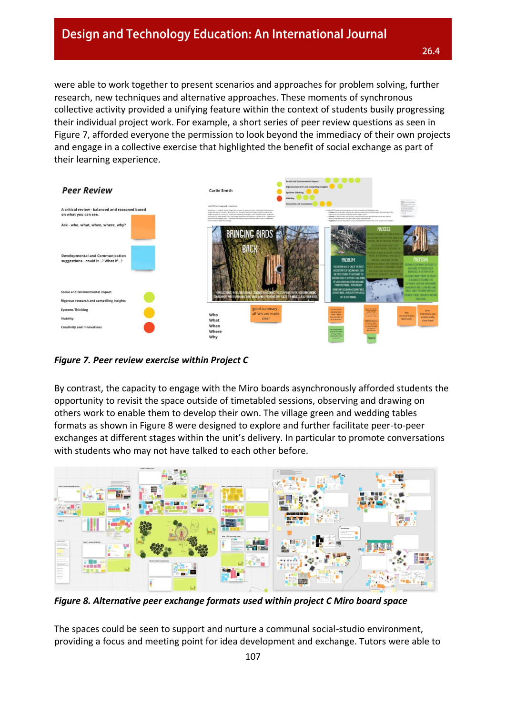were able to work together to present scenarios and approaches for problem solving, further research, new techniques and alternative approaches. These moments of synchronous collective activity provided a unifying feature within the context of students busily progressing their individual project work. For example, a short series of peer review questions as seen in Figure 7, afforded everyone the permission to look beyond the immediacy of their own projects and engage in a collective exercise that highlighted the benefit of social exchange as part of their learning experience.



*Figure 7. Peer review exercise within Project C*

By contrast, the capacity to engage with the Miro boards asynchronously afforded students the opportunity to revisit the space outside of timetabled sessions, observing and drawing on others work to enable them to develop their own. The village green and wedding tables formats as shown in Figure 8 were designed to explore and further facilitate peer-to-peer exchanges at different stages within the unit's delivery. In particular to promote conversations with students who may not have talked to each other before.



*Figure 8. Alternative peer exchange formats used within project C Miro board space*

The spaces could be seen to support and nurture a communal social-studio environment, providing a focus and meeting point for idea development and exchange. Tutors were able to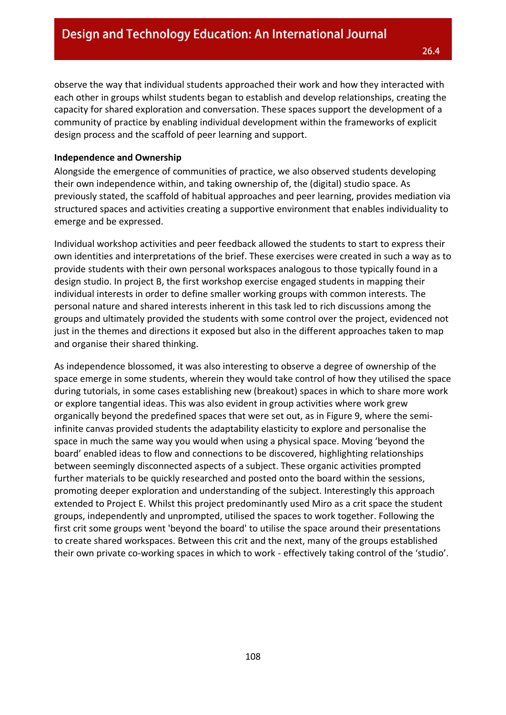observe the way that individual students approached their work and how they interacted with each other in groups whilst students began to establish and develop relationships, creating the capacity for shared exploration and conversation. These spaces support the development of a community of practice by enabling individual development within the frameworks of explicit design process and the scaffold of peer learning and support.

#### **Independence and Ownership**

Alongside the emergence of communities of practice, we also observed students developing their own independence within, and taking ownership of, the (digital) studio space. As previously stated, the scaffold of habitual approaches and peer learning, provides mediation via structured spaces and activities creating a supportive environment that enables individuality to emerge and be expressed.

Individual workshop activities and peer feedback allowed the students to start to express their own identities and interpretations of the brief. These exercises were created in such a way as to provide students with their own personal workspaces analogous to those typically found in a design studio. In project B, the first workshop exercise engaged students in mapping their individual interests in order to define smaller working groups with common interests. The personal nature and shared interests inherent in this task led to rich discussions among the groups and ultimately provided the students with some control over the project, evidenced not just in the themes and directions it exposed but also in the different approaches taken to map and organise their shared thinking.

As independence blossomed, it was also interesting to observe a degree of ownership of the space emerge in some students, wherein they would take control of how they utilised the space during tutorials, in some cases establishing new (breakout) spaces in which to share more work or explore tangential ideas. This was also evident in group activities where work grew organically beyond the predefined spaces that were set out, as in Figure 9, where the semiinfinite canvas provided students the adaptability elasticity to explore and personalise the space in much the same way you would when using a physical space. Moving 'beyond the board' enabled ideas to flow and connections to be discovered, highlighting relationships between seemingly disconnected aspects of a subject. These organic activities prompted further materials to be quickly researched and posted onto the board within the sessions, promoting deeper exploration and understanding of the subject. Interestingly this approach extended to Project E. Whilst this project predominantly used Miro as a crit space the student groups, independently and unprompted, utilised the spaces to work together. Following the first crit some groups went 'beyond the board' to utilise the space around their presentations to create shared workspaces. Between this crit and the next, many of the groups established their own private co-working spaces in which to work - effectively taking control of the 'studio'.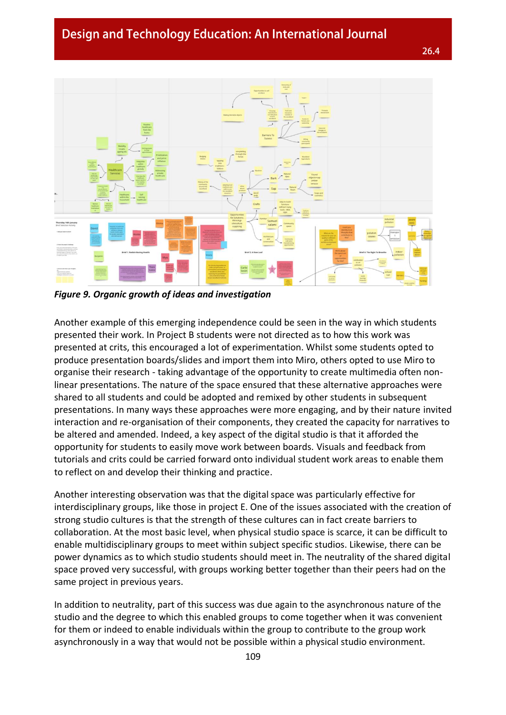26.4



*Figure 9. Organic growth of ideas and investigation*

Another example of this emerging independence could be seen in the way in which students presented their work. In Project B students were not directed as to how this work was presented at crits, this encouraged a lot of experimentation. Whilst some students opted to produce presentation boards/slides and import them into Miro, others opted to use Miro to organise their research - taking advantage of the opportunity to create multimedia often nonlinear presentations. The nature of the space ensured that these alternative approaches were shared to all students and could be adopted and remixed by other students in subsequent presentations. In many ways these approaches were more engaging, and by their nature invited interaction and re-organisation of their components, they created the capacity for narratives to be altered and amended. Indeed, a key aspect of the digital studio is that it afforded the opportunity for students to easily move work between boards. Visuals and feedback from tutorials and crits could be carried forward onto individual student work areas to enable them to reflect on and develop their thinking and practice.

Another interesting observation was that the digital space was particularly effective for interdisciplinary groups, like those in project E. One of the issues associated with the creation of strong studio cultures is that the strength of these cultures can in fact create barriers to collaboration. At the most basic level, when physical studio space is scarce, it can be difficult to enable multidisciplinary groups to meet within subject specific studios. Likewise, there can be power dynamics as to which studio students should meet in. The neutrality of the shared digital space proved very successful, with groups working better together than their peers had on the same project in previous years.

In addition to neutrality, part of this success was due again to the asynchronous nature of the studio and the degree to which this enabled groups to come together when it was convenient for them or indeed to enable individuals within the group to contribute to the group work asynchronously in a way that would not be possible within a physical studio environment.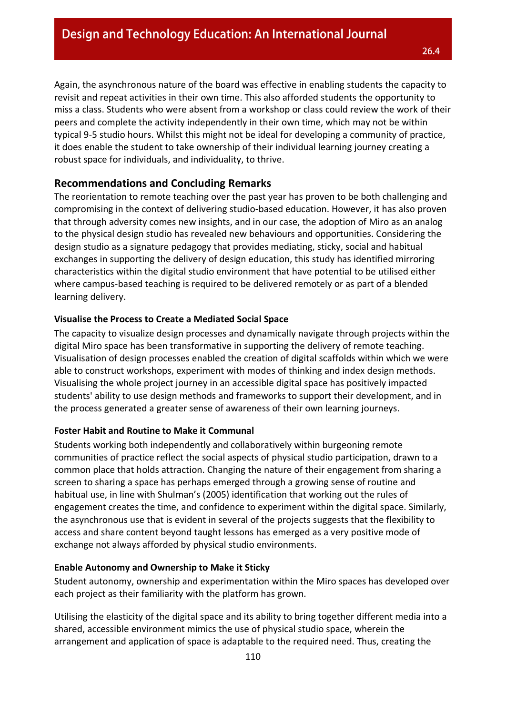Again, the asynchronous nature of the board was effective in enabling students the capacity to revisit and repeat activities in their own time. This also afforded students the opportunity to miss a class. Students who were absent from a workshop or class could review the work of their peers and complete the activity independently in their own time, which may not be within typical 9-5 studio hours. Whilst this might not be ideal for developing a community of practice, it does enable the student to take ownership of their individual learning journey creating a robust space for individuals, and individuality, to thrive.

## **Recommendations and Concluding Remarks**

The reorientation to remote teaching over the past year has proven to be both challenging and compromising in the context of delivering studio-based education. However, it has also proven that through adversity comes new insights, and in our case, the adoption of Miro as an analog to the physical design studio has revealed new behaviours and opportunities. Considering the design studio as a signature pedagogy that provides mediating, sticky, social and habitual exchanges in supporting the delivery of design education, this study has identified mirroring characteristics within the digital studio environment that have potential to be utilised either where campus-based teaching is required to be delivered remotely or as part of a blended learning delivery.

#### **Visualise the Process to Create a Mediated Social Space**

The capacity to visualize design processes and dynamically navigate through projects within the digital Miro space has been transformative in supporting the delivery of remote teaching. Visualisation of design processes enabled the creation of digital scaffolds within which we were able to construct workshops, experiment with modes of thinking and index design methods. Visualising the whole project journey in an accessible digital space has positively impacted students' ability to use design methods and frameworks to support their development, and in the process generated a greater sense of awareness of their own learning journeys.

#### **Foster Habit and Routine to Make it Communal**

Students working both independently and collaboratively within burgeoning remote communities of practice reflect the social aspects of physical studio participation, drawn to a common place that holds attraction. Changing the nature of their engagement from sharing a screen to sharing a space has perhaps emerged through a growing sense of routine and habitual use, in line with Shulman's (2005) identification that working out the rules of engagement creates the time, and confidence to experiment within the digital space. Similarly, the asynchronous use that is evident in several of the projects suggests that the flexibility to access and share content beyond taught lessons has emerged as a very positive mode of exchange not always afforded by physical studio environments.

#### **Enable Autonomy and Ownership to Make it Sticky**

Student autonomy, ownership and experimentation within the Miro spaces has developed over each project as their familiarity with the platform has grown.

Utilising the elasticity of the digital space and its ability to bring together different media into a shared, accessible environment mimics the use of physical studio space, wherein the arrangement and application of space is adaptable to the required need. Thus, creating the